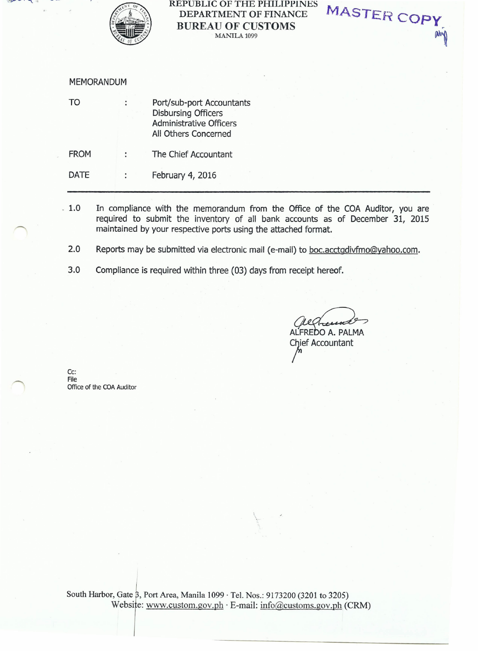

## REPUBLIC OF THE PHILIPPINES DEPARTMENT OF FINANCE BUREAU OF CUSTOMS MANILA 1099

MASTER COPY

MEMORANDUM

| TO | ÷ | Port/sub-port Accountants      |
|----|---|--------------------------------|
|    |   | <b>Disbursing Officers</b>     |
|    |   | <b>Administrative Officers</b> |
|    |   | All Others Concerned           |
|    |   |                                |

FROM : The Chief Accountant

DATE : February 4, 2016

- 1.0 In compliance with the memorandum from the Office of the COA Auditor, you are required to submit the inventory of all bank accounts as of December 31, 2015 maintained by your respective ports using the attached format.
	- 2.0 Reports may be submitted via electronic mail (e-mail) to boc.acctgdivfmo@yahoo.com.
	- 3.0 Compliance is required within three (03) days from receipt hereof.

ALFREDO A. PALMA Chief Accountant

Cc: File Office of the COA Auditor

South Harbor, Gate  $\beta$ , Port Area, Manila 1099  $\cdot$  Tel. Nos.: 9173200 (3201 to 3205) Website: www.custom.gov.ph  $\cdot$  E-mail: info@customs.gov.ph (CRM)

\.